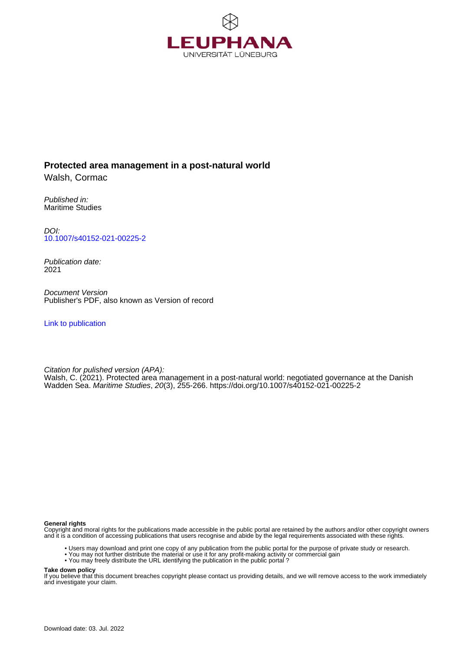

## **Protected area management in a post-natural world**

Walsh, Cormac

Published in: Maritime Studies

DOI: [10.1007/s40152-021-00225-2](https://doi.org/10.1007/s40152-021-00225-2)

Publication date: 2021

Document Version Publisher's PDF, also known as Version of record

[Link to publication](http://fox.leuphana.de/portal/en/publications/protected-area-management-in-a-postnatural-world(f289c641-af98-41fe-bbec-409c86bfda98).html)

Citation for pulished version (APA): [Walsh, C.](http://fox.leuphana.de/portal/de/persons/cormac-walsh(25c90567-c8ba-4b02-98d0-e195d5e74414).html) (2021). [Protected area management in a post-natural world: negotiated governance at the Danish](http://fox.leuphana.de/portal/de/publications/protected-area-management-in-a-postnatural-world(f289c641-af98-41fe-bbec-409c86bfda98).html) [Wadden Sea.](http://fox.leuphana.de/portal/de/publications/protected-area-management-in-a-postnatural-world(f289c641-af98-41fe-bbec-409c86bfda98).html) [Maritime Studies](http://fox.leuphana.de/portal/de/journals/maritime-studies(ea446c0b-f281-406e-a2af-d1259e32c2a1)/publications.html), 20(3), 255-266. <https://doi.org/10.1007/s40152-021-00225-2>

#### **General rights**

Copyright and moral rights for the publications made accessible in the public portal are retained by the authors and/or other copyright owners and it is a condition of accessing publications that users recognise and abide by the legal requirements associated with these rights.

- Users may download and print one copy of any publication from the public portal for the purpose of private study or research.
- You may not further distribute the material or use it for any profit-making activity or commercial gain
- You may freely distribute the URL identifying the publication in the public portal ?

#### **Take down policy**

If you believe that this document breaches copyright please contact us providing details, and we will remove access to the work immediately and investigate your claim.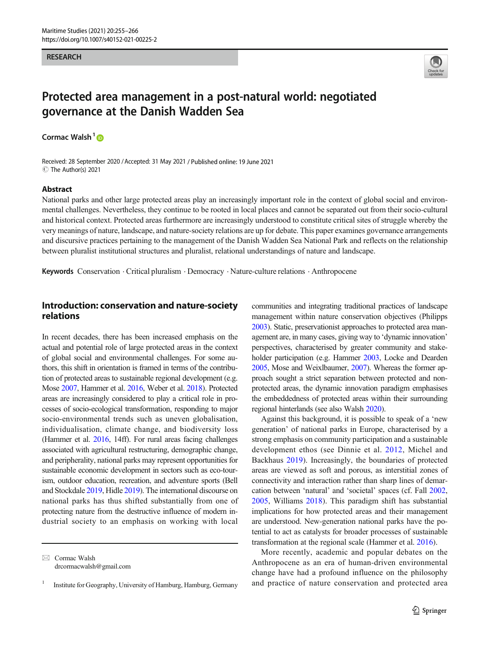#### RESEARCH



# Protected area management in a post-natural world: negotiated governance at the Danish Wadden Sea

Cormac Walsh<sup>1</sup> $\bullet$ 

Received: 28 September 2020 /Accepted: 31 May 2021 / Published online: 19 June 2021 C The Author(s) 2021

#### Abstract

National parks and other large protected areas play an increasingly important role in the context of global social and environmental challenges. Nevertheless, they continue to be rooted in local places and cannot be separated out from their socio-cultural and historical context. Protected areas furthermore are increasingly understood to constitute critical sites of struggle whereby the very meanings of nature, landscape, and nature-society relations are up for debate. This paper examines governance arrangements and discursive practices pertaining to the management of the Danish Wadden Sea National Park and reflects on the relationship between pluralist institutional structures and pluralist, relational understandings of nature and landscape.

Keywords Conservation . Critical pluralism . Democracy . Nature-culture relations . Anthropocene

#### Introduction: conservation and nature-society relations

In recent decades, there has been increased emphasis on the actual and potential role of large protected areas in the context of global social and environmental challenges. For some authors, this shift in orientation is framed in terms of the contribution of protected areas to sustainable regional development (e.g. Mose [2007,](#page-12-0) Hammer et al. [2016,](#page-11-0) Weber et al. [2018](#page-12-0)). Protected areas are increasingly considered to play a critical role in processes of socio-ecological transformation, responding to major socio-environmental trends such as uneven globalisation, individualisation, climate change, and biodiversity loss (Hammer et al. [2016](#page-11-0), 14ff). For rural areas facing challenges associated with agricultural restructuring, demographic change, and peripherality, national parks may represent opportunities for sustainable economic development in sectors such as eco-tourism, outdoor education, recreation, and adventure sports (Bell and Stockdale [2019](#page-11-0), Hidle [2019](#page-12-0)). The international discourse on national parks has thus shifted substantially from one of protecting nature from the destructive influence of modern industrial society to an emphasis on working with local

 $\boxtimes$  Cormac Walsh [drcormacwalsh@gmail.com](mailto:drcormacwalsh@gmail.com) communities and integrating traditional practices of landscape management within nature conservation objectives (Philipps [2003](#page-12-0)). Static, preservationist approaches to protected area management are, in many cases, giving way to 'dynamic innovation' perspectives, characterised by greater community and stake-holder participation (e.g. Hammer [2003](#page-11-0), Locke and Dearden [2005](#page-12-0), Mose and Weixlbaumer, [2007\)](#page-12-0). Whereas the former approach sought a strict separation between protected and nonprotected areas, the dynamic innovation paradigm emphasises the embeddedness of protected areas within their surrounding regional hinterlands (see also Walsh [2020\)](#page-12-0).

Against this background, it is possible to speak of a 'new generation' of national parks in Europe, characterised by a strong emphasis on community participation and a sustainable development ethos (see Dinnie et al. [2012](#page-11-0), Michel and Backhaus [2019](#page-12-0)). Increasingly, the boundaries of protected areas are viewed as soft and porous, as interstitial zones of connectivity and interaction rather than sharp lines of demarcation between 'natural' and 'societal' spaces (cf. Fall [2002,](#page-11-0) [2005](#page-11-0), Williams [2018](#page-12-0)). This paradigm shift has substantial implications for how protected areas and their management are understood. New-generation national parks have the potential to act as catalysts for broader processes of sustainable transformation at the regional scale (Hammer et al. [2016](#page-11-0)).

More recently, academic and popular debates on the Anthropocene as an era of human-driven environmental change have had a profound influence on the philosophy and practice of nature conservation and protected area

<sup>1</sup> Institute for Geography, University of Hamburg, Hamburg, Germany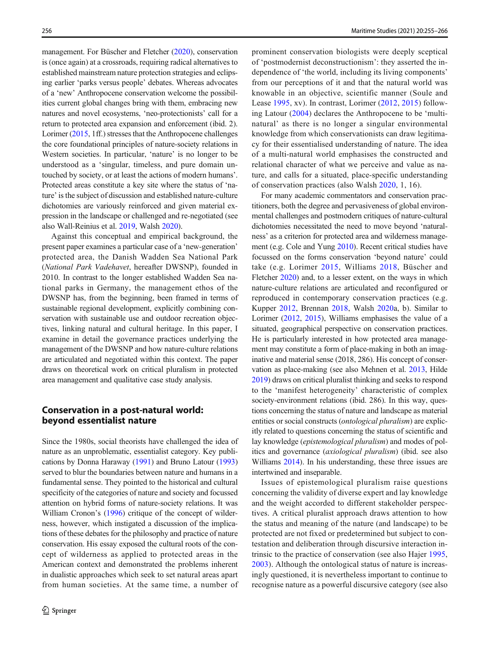management. For Büscher and Fletcher ([2020](#page-11-0)), conservation is (once again) at a crossroads, requiring radical alternatives to established mainstream nature protection strategies and eclipsing earlier 'parks versus people' debates. Whereas advocates of a 'new' Anthropocene conservation welcome the possibilities current global changes bring with them, embracing new natures and novel ecosystems, 'neo-protectionists' call for a return to protected area expansion and enforcement (ibid. 2). Lorimer ([2015](#page-12-0), 1ff.) stresses that the Anthropocene challenges the core foundational principles of nature-society relations in Western societies. In particular, 'nature' is no longer to be understood as a 'singular, timeless, and pure domain untouched by society, or at least the actions of modern humans'. Protected areas constitute a key site where the status of 'nature' is the subject of discussion and established nature-culture dichotomies are variously reinforced and given material expression in the landscape or challenged and re-negotiated (see also Wall-Reinius et al. [2019](#page-12-0), Walsh [2020\)](#page-12-0).

Against this conceptual and empirical background, the present paper examines a particular case of a 'new-generation' protected area, the Danish Wadden Sea National Park (National Park Vadehavet, hereafter DWSNP), founded in 2010. In contrast to the longer established Wadden Sea national parks in Germany, the management ethos of the DWSNP has, from the beginning, been framed in terms of sustainable regional development, explicitly combining conservation with sustainable use and outdoor recreation objectives, linking natural and cultural heritage. In this paper, I examine in detail the governance practices underlying the management of the DWSNP and how nature-culture relations are articulated and negotiated within this context. The paper draws on theoretical work on critical pluralism in protected area management and qualitative case study analysis.

## Conservation in a post-natural world: beyond essentialist nature

Since the 1980s, social theorists have challenged the idea of nature as an unproblematic, essentialist category. Key publications by Donna Haraway [\(1991\)](#page-12-0) and Bruno Latour [\(1993\)](#page-12-0) served to blur the boundaries between nature and humans in a fundamental sense. They pointed to the historical and cultural specificity of the categories of nature and society and focussed attention on hybrid forms of nature-society relations. It was William Cronon's [\(1996\)](#page-11-0) critique of the concept of wilderness, however, which instigated a discussion of the implications of these debates for the philosophy and practice of nature conservation. His essay exposed the cultural roots of the concept of wilderness as applied to protected areas in the American context and demonstrated the problems inherent in dualistic approaches which seek to set natural areas apart from human societies. At the same time, a number of prominent conservation biologists were deeply sceptical of 'postmodernist deconstructionism': they asserted the independence of 'the world, including its living components' from our perceptions of it and that the natural world was knowable in an objective, scientific manner (Soule and Lease [1995,](#page-12-0) xv). In contrast, Lorimer ([2012](#page-12-0), [2015\)](#page-12-0) following Latour [\(2004\)](#page-12-0) declares the Anthropocene to be 'multinatural' as there is no longer a singular environmental knowledge from which conservationists can draw legitimacy for their essentialised understanding of nature. The idea of a multi-natural world emphasises the constructed and relational character of what we perceive and value as nature, and calls for a situated, place-specific understanding of conservation practices (also Walsh [2020](#page-12-0), 1, 16).

For many academic commentators and conservation practitioners, both the degree and pervasiveness of global environmental challenges and postmodern critiques of nature-cultural dichotomies necessitated the need to move beyond 'naturalness' as a criterion for protected area and wilderness management (e.g. Cole and Yung [2010\)](#page-11-0). Recent critical studies have focussed on the forms conservation 'beyond nature' could take (e.g. Lorimer [2015,](#page-12-0) Williams [2018](#page-12-0), Büscher and Fletcher [2020](#page-11-0)) and, to a lesser extent, on the ways in which nature-culture relations are articulated and reconfigured or reproduced in contemporary conservation practices (e.g. Kupper [2012,](#page-12-0) Brennan [2018](#page-11-0), Walsh [2020a](#page-12-0), b). Similar to Lorimer ([2012,](#page-12-0) [2015\)](#page-12-0), Williams emphasises the value of a situated, geographical perspective on conservation practices. He is particularly interested in how protected area management may constitute a form of place-making in both an imaginative and material sense (2018, 286). His concept of conservation as place-making (see also Mehnen et al. [2013,](#page-12-0) Hilde [2019\)](#page-12-0) draws on critical pluralist thinking and seeks to respond to the 'manifest heterogeneity' characteristic of complex society-environment relations (ibid. 286). In this way, questions concerning the status of nature and landscape as material entities or social constructs (ontological pluralism) are explicitly related to questions concerning the status of scientific and lay knowledge (epistemological pluralism) and modes of politics and governance (axiological pluralism) (ibid. see also Williams [2014](#page-12-0)). In his understanding, these three issues are intertwined and inseparable.

Issues of epistemological pluralism raise questions concerning the validity of diverse expert and lay knowledge and the weight accorded to different stakeholder perspectives. A critical pluralist approach draws attention to how the status and meaning of the nature (and landscape) to be protected are not fixed or predetermined but subject to contestation and deliberation through discursive interaction intrinsic to the practice of conservation (see also Hajer [1995,](#page-11-0) [2003](#page-11-0)). Although the ontological status of nature is increasingly questioned, it is nevertheless important to continue to recognise nature as a powerful discursive category (see also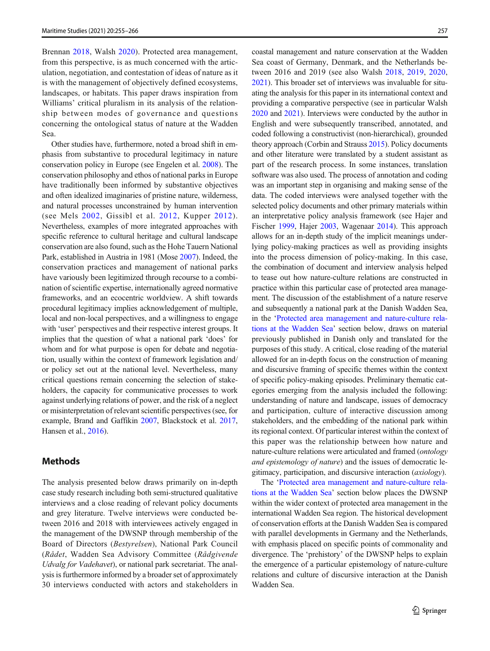Brennan [2018](#page-11-0), Walsh [2020](#page-12-0)). Protected area management, from this perspective, is as much concerned with the articulation, negotiation, and contestation of ideas of nature as it is with the management of objectively defined ecosystems, landscapes, or habitats. This paper draws inspiration from Williams' critical pluralism in its analysis of the relationship between modes of governance and questions concerning the ontological status of nature at the Wadden Sea.

Other studies have, furthermore, noted a broad shift in emphasis from substantive to procedural legitimacy in nature conservation policy in Europe (see Engelen et al. [2008\)](#page-11-0). The conservation philosophy and ethos of national parks in Europe have traditionally been informed by substantive objectives and often idealized imaginaries of pristine nature, wilderness, and natural processes unconstrained by human intervention (see Mels [2002,](#page-12-0) Gissibl et al. [2012,](#page-11-0) Kupper [2012\)](#page-12-0). Nevertheless, examples of more integrated approaches with specific reference to cultural heritage and cultural landscape conservation are also found, such as the Hohe Tauern National Park, established in Austria in 1981 (Mose [2007](#page-12-0)). Indeed, the conservation practices and management of national parks have variously been legitimized through recourse to a combination of scientific expertise, internationally agreed normative frameworks, and an ecocentric worldview. A shift towards procedural legitimacy implies acknowledgement of multiple, local and non-local perspectives, and a willingness to engage with 'user' perspectives and their respective interest groups. It implies that the question of what a national park 'does' for whom and for what purpose is open for debate and negotiation, usually within the context of framework legislation and/ or policy set out at the national level. Nevertheless, many critical questions remain concerning the selection of stakeholders, the capacity for communicative processes to work against underlying relations of power, and the risk of a neglect or misinterpretation of relevant scientific perspectives (see, for example, Brand and Gaffikin [2007,](#page-11-0) Blackstock et al. [2017,](#page-11-0) Hansen et al., [2016](#page-12-0)).

#### Methods

The analysis presented below draws primarily on in-depth case study research including both semi-structured qualitative interviews and a close reading of relevant policy documents and grey literature. Twelve interviews were conducted between 2016 and 2018 with interviewees actively engaged in the management of the DWSNP through membership of the Board of Directors (Bestyrelsen), National Park Council (Rådet, Wadden Sea Advisory Committee (Rådgivende Udvalg for Vadehavet), or national park secretariat. The analysis is furthermore informed by a broader set of approximately 30 interviews conducted with actors and stakeholders in coastal management and nature conservation at the Wadden Sea coast of Germany, Denmark, and the Netherlands between 2016 and 2019 (see also Walsh [2018,](#page-12-0) [2019](#page-12-0), [2020,](#page-12-0) [2021\)](#page-12-0). This broader set of interviews was invaluable for situating the analysis for this paper in its international context and providing a comparative perspective (see in particular Walsh [2020](#page-12-0) and [2021](#page-12-0)). Interviews were conducted by the author in English and were subsequently transcribed, annotated, and coded following a constructivist (non-hierarchical), grounded theory approach (Corbin and Strauss [2015\)](#page-11-0). Policy documents and other literature were translated by a student assistant as part of the research process. In some instances, translation software was also used. The process of annotation and coding was an important step in organising and making sense of the data. The coded interviews were analysed together with the selected policy documents and other primary materials within an interpretative policy analysis framework (see Hajer and Fischer [1999](#page-11-0), Hajer [2003](#page-11-0), Wagenaar [2014](#page-12-0)). This approach allows for an in-depth study of the implicit meanings underlying policy-making practices as well as providing insights into the process dimension of policy-making. In this case, the combination of document and interview analysis helped to tease out how nature-culture relations are constructed in practice within this particular case of protected area management. The discussion of the establishment of a nature reserve and subsequently a national park at the Danish Wadden Sea, in the '[Protected area management and nature-culture rela](#page-4-0)[tions at the Wadden Sea](#page-4-0)' section below, draws on material previously published in Danish only and translated for the purposes of this study. A critical, close reading of the material allowed for an in-depth focus on the construction of meaning and discursive framing of specific themes within the context of specific policy-making episodes. Preliminary thematic categories emerging from the analysis included the following: understanding of nature and landscape, issues of democracy and participation, culture of interactive discussion among stakeholders, and the embedding of the national park within its regional context. Of particular interest within the context of this paper was the relationship between how nature and nature-culture relations were articulated and framed (ontology and epistemology of nature) and the issues of democratic legitimacy, participation, and discursive interaction (axiology).

The '[Protected area management and nature-culture rela](#page-4-0)[tions at the Wadden Sea](#page-4-0)' section below places the DWSNP within the wider context of protected area management in the international Wadden Sea region. The historical development of conservation efforts at the Danish Wadden Sea is compared with parallel developments in Germany and the Netherlands, with emphasis placed on specific points of commonality and divergence. The 'prehistory' of the DWSNP helps to explain the emergence of a particular epistemology of nature-culture relations and culture of discursive interaction at the Danish Wadden Sea.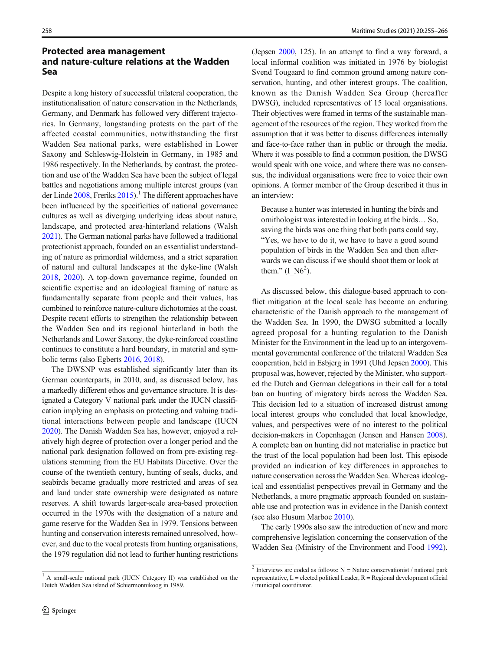## <span id="page-4-0"></span>Protected area management and nature-culture relations at the Wadden Sea

Despite a long history of successful trilateral cooperation, the institutionalisation of nature conservation in the Netherlands, Germany, and Denmark has followed very different trajectories. In Germany, longstanding protests on the part of the affected coastal communities, notwithstanding the first Wadden Sea national parks, were established in Lower Saxony and Schleswig-Holstein in Germany, in 1985 and 1986 respectively. In the Netherlands, by contrast, the protection and use of the Wadden Sea have been the subject of legal battles and negotiations among multiple interest groups (van der Linde  $2008$ , Freriks  $2015$ .<sup>1</sup> The different approaches have been influenced by the specificities of national governance cultures as well as diverging underlying ideas about nature, landscape, and protected area-hinterland relations (Walsh [2021\)](#page-12-0). The German national parks have followed a traditional protectionist approach, founded on an essentialist understanding of nature as primordial wilderness, and a strict separation of natural and cultural landscapes at the dyke-line (Walsh [2018,](#page-12-0) [2020](#page-12-0)). A top-down governance regime, founded on scientific expertise and an ideological framing of nature as fundamentally separate from people and their values, has combined to reinforce nature-culture dichotomies at the coast. Despite recent efforts to strengthen the relationship between the Wadden Sea and its regional hinterland in both the Netherlands and Lower Saxony, the dyke-reinforced coastline continues to constitute a hard boundary, in material and symbolic terms (also Egberts [2016](#page-11-0), [2018\)](#page-11-0).

The DWSNP was established significantly later than its German counterparts, in 2010, and, as discussed below, has a markedly different ethos and governance structure. It is designated a Category V national park under the IUCN classification implying an emphasis on protecting and valuing traditional interactions between people and landscape (IUCN [2020\)](#page-12-0). The Danish Wadden Sea has, however, enjoyed a relatively high degree of protection over a longer period and the national park designation followed on from pre-existing regulations stemming from the EU Habitats Directive. Over the course of the twentieth century, hunting of seals, ducks, and seabirds became gradually more restricted and areas of sea and land under state ownership were designated as nature reserves. A shift towards larger-scale area-based protection occurred in the 1970s with the designation of a nature and game reserve for the Wadden Sea in 1979. Tensions between hunting and conservation interests remained unresolved, however, and due to the vocal protests from hunting organisations, the 1979 regulation did not lead to further hunting restrictions

<sup>1</sup> A small-scale national park (IUCN Category II) was established on the Dutch Wadden Sea island of Schiermonnikoog in 1989.

(Jepsen [2000](#page-12-0), 125). In an attempt to find a way forward, a local informal coalition was initiated in 1976 by biologist Svend Tougaard to find common ground among nature conservation, hunting, and other interest groups. The coalition, known as the Danish Wadden Sea Group (hereafter DWSG), included representatives of 15 local organisations. Their objectives were framed in terms of the sustainable management of the resources of the region. They worked from the assumption that it was better to discuss differences internally and face-to-face rather than in public or through the media. Where it was possible to find a common position, the DWSG would speak with one voice, and where there was no consensus, the individual organisations were free to voice their own opinions. A former member of the Group described it thus in an interview:

Because a hunter was interested in hunting the birds and ornithologist was interested in looking at the birds… So, saving the birds was one thing that both parts could say, "Yes, we have to do it, we have to have a good sound population of birds in the Wadden Sea and then afterwards we can discuss if we should shoot them or look at them."  $(I_{N6}^2)$ .

As discussed below, this dialogue-based approach to conflict mitigation at the local scale has become an enduring characteristic of the Danish approach to the management of the Wadden Sea. In 1990, the DWSG submitted a locally agreed proposal for a hunting regulation to the Danish Minister for the Environment in the lead up to an intergovernmental governmental conference of the trilateral Wadden Sea cooperation, held in Esbjerg in 1991 (Uhd Jepsen [2000](#page-12-0)). This proposal was, however, rejected by the Minister, who supported the Dutch and German delegations in their call for a total ban on hunting of migratory birds across the Wadden Sea. This decision led to a situation of increased distrust among local interest groups who concluded that local knowledge, values, and perspectives were of no interest to the political decision-makers in Copenhagen (Jensen and Hansen [2008\)](#page-12-0). A complete ban on hunting did not materialise in practice but the trust of the local population had been lost. This episode provided an indication of key differences in approaches to nature conservation across the Wadden Sea. Whereas ideological and essentialist perspectives prevail in Germany and the Netherlands, a more pragmatic approach founded on sustainable use and protection was in evidence in the Danish context (see also Husum Marboe [2010\)](#page-12-0).

The early 1990s also saw the introduction of new and more comprehensive legislation concerning the conservation of the Wadden Sea (Ministry of the Environment and Food [1992\)](#page-12-0).

 $2$  Interviews are coded as follows: N = Nature conservationist / national park representative,  $L =$  elected political Leader,  $R =$  Regional development official / municipal coordinator.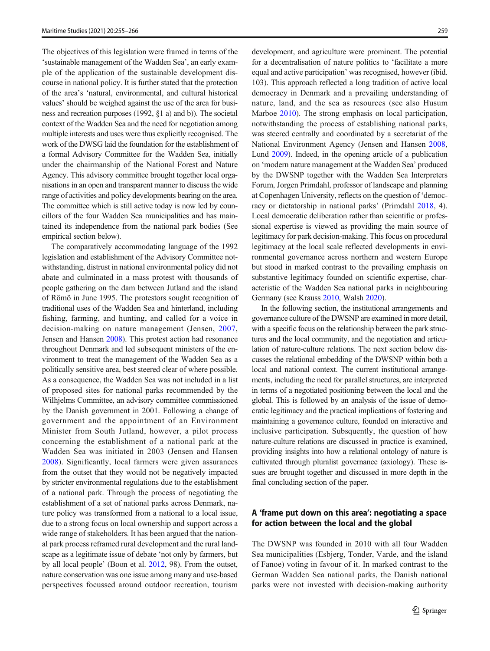The objectives of this legislation were framed in terms of the 'sustainable management of the Wadden Sea', an early example of the application of the sustainable development discourse in national policy. It is further stated that the protection of the area's 'natural, environmental, and cultural historical values' should be weighed against the use of the area for business and recreation purposes (1992, §1 a) and b)). The societal context of the Wadden Sea and the need for negotiation among multiple interests and uses were thus explicitly recognised. The work of the DWSG laid the foundation for the establishment of a formal Advisory Committee for the Wadden Sea, initially under the chairmanship of the National Forest and Nature Agency. This advisory committee brought together local organisations in an open and transparent manner to discuss the wide range of activities and policy developments bearing on the area. The committee which is still active today is now led by councillors of the four Wadden Sea municipalities and has maintained its independence from the national park bodies (See empirical section below).

The comparatively accommodating language of the 1992 legislation and establishment of the Advisory Committee notwithstanding, distrust in national environmental policy did not abate and culminated in a mass protest with thousands of people gathering on the dam between Jutland and the island of Römö in June 1995. The protestors sought recognition of traditional uses of the Wadden Sea and hinterland, including fishing, farming, and hunting, and called for a voice in decision-making on nature management (Jensen, [2007,](#page-12-0) Jensen and Hansen [2008\)](#page-12-0). This protest action had resonance throughout Denmark and led subsequent ministers of the environment to treat the management of the Wadden Sea as a politically sensitive area, best steered clear of where possible. As a consequence, the Wadden Sea was not included in a list of proposed sites for national parks recommended by the Wilhjelms Committee, an advisory committee commissioned by the Danish government in 2001. Following a change of government and the appointment of an Environment Minister from South Jutland, however, a pilot process concerning the establishment of a national park at the Wadden Sea was initiated in 2003 (Jensen and Hansen [2008](#page-12-0)). Significantly, local farmers were given assurances from the outset that they would not be negatively impacted by stricter environmental regulations due to the establishment of a national park. Through the process of negotiating the establishment of a set of national parks across Denmark, nature policy was transformed from a national to a local issue, due to a strong focus on local ownership and support across a wide range of stakeholders. It has been argued that the national park process reframed rural development and the rural landscape as a legitimate issue of debate 'not only by farmers, but by all local people' (Boon et al. [2012](#page-11-0), 98). From the outset, nature conservation was one issue among many and use-based perspectives focussed around outdoor recreation, tourism

development, and agriculture were prominent. The potential for a decentralisation of nature politics to 'facilitate a more equal and active participation' was recognised, however (ibid. 103). This approach reflected a long tradition of active local democracy in Denmark and a prevailing understanding of nature, land, and the sea as resources (see also Husum Marboe [2010](#page-12-0)). The strong emphasis on local participation, notwithstanding the process of establishing national parks, was steered centrally and coordinated by a secretariat of the National Environment Agency (Jensen and Hansen [2008,](#page-12-0) Lund [2009](#page-12-0)). Indeed, in the opening article of a publication on 'modern nature management at the Wadden Sea' produced by the DWSNP together with the Wadden Sea Interpreters Forum, Jorgen Primdahl, professor of landscape and planning at Copenhagen University, reflects on the question of 'democracy or dictatorship in national parks' (Primdahl [2018](#page-12-0), 4). Local democratic deliberation rather than scientific or professional expertise is viewed as providing the main source of legitimacy for park decision-making. This focus on procedural legitimacy at the local scale reflected developments in environmental governance across northern and western Europe but stood in marked contrast to the prevailing emphasis on substantive legitimacy founded on scientific expertise, characteristic of the Wadden Sea national parks in neighbouring Germany (see Krauss [2010](#page-12-0), Walsh [2020](#page-12-0)).

In the following section, the institutional arrangements and governance culture of the DWSNP are examined in more detail, with a specific focus on the relationship between the park structures and the local community, and the negotiation and articulation of nature-culture relations. The next section below discusses the relational embedding of the DWSNP within both a local and national context. The current institutional arrangements, including the need for parallel structures, are interpreted in terms of a negotiated positioning between the local and the global. This is followed by an analysis of the issue of democratic legitimacy and the practical implications of fostering and maintaining a governance culture, founded on interactive and inclusive participation. Subsquently, the question of how nature-culture relations are discussed in practice is examined, providing insights into how a relational ontology of nature is cultivated through pluralist governance (axiology). These issues are brought together and discussed in more depth in the final concluding section of the paper.

#### A 'frame put down on this area': negotiating a space for action between the local and the global

The DWSNP was founded in 2010 with all four Wadden Sea municipalities (Esbjerg, Tonder, Varde, and the island of Fanoe) voting in favour of it. In marked contrast to the German Wadden Sea national parks, the Danish national parks were not invested with decision-making authority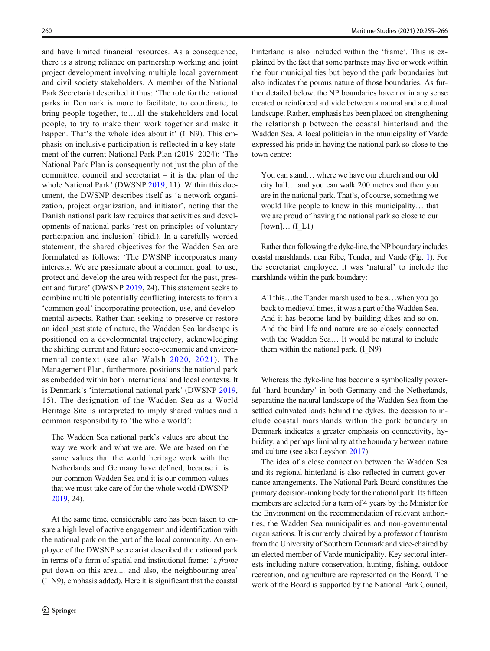and have limited financial resources. As a consequence, there is a strong reliance on partnership working and joint project development involving multiple local government and civil society stakeholders. A member of the National Park Secretariat described it thus: 'The role for the national parks in Denmark is more to facilitate, to coordinate, to bring people together, to…all the stakeholders and local people, to try to make them work together and make it happen. That's the whole idea about it' (I\_N9). This emphasis on inclusive participation is reflected in a key statement of the current National Park Plan (2019–2024): 'The National Park Plan is consequently not just the plan of the committee, council and secretariat – it is the plan of the whole National Park' (DWSNP [2019,](#page-11-0) 11). Within this document, the DWSNP describes itself as 'a network organization, project organization, and initiator', noting that the Danish national park law requires that activities and developments of national parks 'rest on principles of voluntary participation and inclusion' (ibid.). In a carefully worded statement, the shared objectives for the Wadden Sea are formulated as follows: 'The DWSNP incorporates many interests. We are passionate about a common goal: to use, protect and develop the area with respect for the past, present and future' (DWSNP [2019](#page-11-0), 24). This statement seeks to combine multiple potentially conflicting interests to form a 'common goal' incorporating protection, use, and developmental aspects. Rather than seeking to preserve or restore an ideal past state of nature, the Wadden Sea landscape is positioned on a developmental trajectory, acknowledging the shifting current and future socio-economic and environmental context (see also Walsh [2020,](#page-12-0) [2021](#page-12-0)). The Management Plan, furthermore, positions the national park as embedded within both international and local contexts. It is Denmark's 'international national park' (DWSNP [2019,](#page-11-0) 15). The designation of the Wadden Sea as a World Heritage Site is interpreted to imply shared values and a common responsibility to 'the whole world':

The Wadden Sea national park's values are about the way we work and what we are. We are based on the same values that the world heritage work with the Netherlands and Germany have defined, because it is our common Wadden Sea and it is our common values that we must take care of for the whole world (DWSNP [2019,](#page-11-0) 24).

At the same time, considerable care has been taken to ensure a high level of active engagement and identification with the national park on the part of the local community. An employee of the DWSNP secretariat described the national park in terms of a form of spatial and institutional frame: 'a frame put down on this area.... and also, the neighbouring area' (I\_N9), emphasis added). Here it is significant that the coastal hinterland is also included within the 'frame'. This is explained by the fact that some partners may live or work within the four municipalities but beyond the park boundaries but also indicates the porous nature of those boundaries. As further detailed below, the NP boundaries have not in any sense created or reinforced a divide between a natural and a cultural landscape. Rather, emphasis has been placed on strengthening the relationship between the coastal hinterland and the Wadden Sea. A local politician in the municipality of Varde expressed his pride in having the national park so close to the town centre:

You can stand… where we have our church and our old city hall… and you can walk 200 metres and then you are in the national park. That's, of course, something we would like people to know in this municipality… that we are proud of having the national park so close to our  $[town]... (I L1)$ 

Rather than following the dyke-line, the NP boundary includes coastal marshlands, near Ribe, Tonder, and Varde (Fig. [1\)](#page-7-0). For the secretariat employee, it was 'natural' to include the marshlands within the park boundary:

All this…the Tønder marsh used to be a…when you go back to medieval times, it was a part of the Wadden Sea. And it has become land by building dikes and so on. And the bird life and nature are so closely connected with the Wadden Sea… It would be natural to include them within the national park. (I\_N9)

Whereas the dyke-line has become a symbolically powerful 'hard boundary' in both Germany and the Netherlands, separating the natural landscape of the Wadden Sea from the settled cultivated lands behind the dykes, the decision to include coastal marshlands within the park boundary in Denmark indicates a greater emphasis on connectivity, hybridity, and perhaps liminality at the boundary between nature and culture (see also Leyshon [2017](#page-12-0)).

The idea of a close connection between the Wadden Sea and its regional hinterland is also reflected in current governance arrangements. The National Park Board constitutes the primary decision-making body for the national park. Its fifteen members are selected for a term of 4 years by the Minister for the Environment on the recommendation of relevant authorities, the Wadden Sea municipalities and non-governmental organisations. It is currently chaired by a professor of tourism from the University of Southern Denmark and vice-chaired by an elected member of Varde municipality. Key sectoral interests including nature conservation, hunting, fishing, outdoor recreation, and agriculture are represented on the Board. The work of the Board is supported by the National Park Council,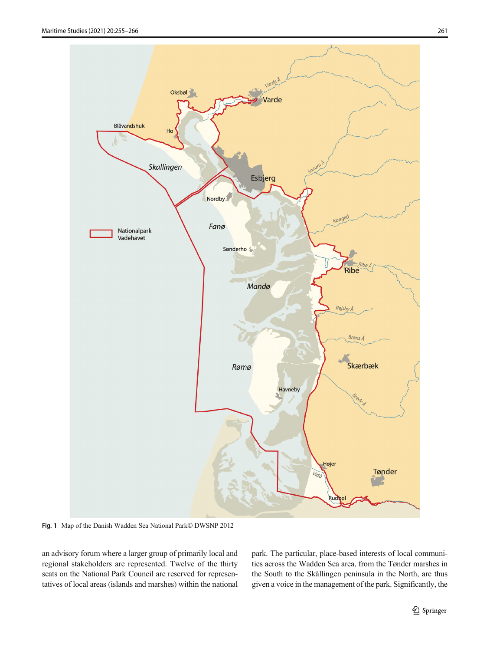<span id="page-7-0"></span>

Fig. 1 Map of the Danish Wadden Sea National Park© DWSNP 2012

an advisory forum where a larger group of primarily local and regional stakeholders are represented. Twelve of the thirty seats on the National Park Council are reserved for representatives of local areas (islands and marshes) within the national park. The particular, place-based interests of local communities across the Wadden Sea area, from the Tønder marshes in the South to the Skållingen peninsula in the North, are thus given a voice in the management of the park. Significantly, the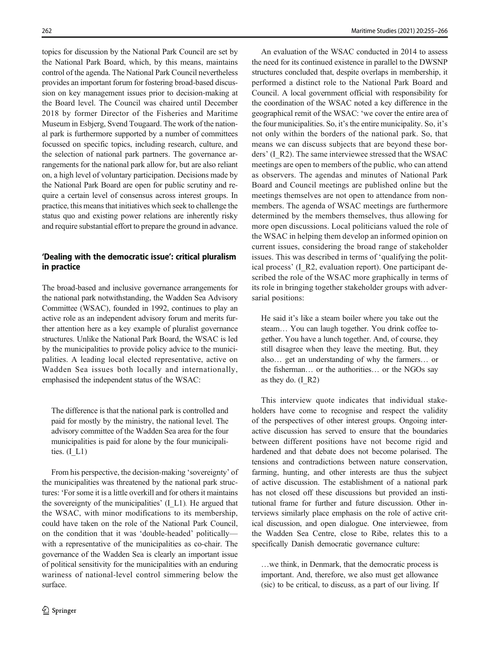topics for discussion by the National Park Council are set by the National Park Board, which, by this means, maintains control of the agenda. The National Park Council nevertheless provides an important forum for fostering broad-based discussion on key management issues prior to decision-making at the Board level. The Council was chaired until December 2018 by former Director of the Fisheries and Maritime Museum in Esbjerg, Svend Tougaard. The work of the national park is furthermore supported by a number of committees focussed on specific topics, including research, culture, and the selection of national park partners. The governance arrangements for the national park allow for, but are also reliant on, a high level of voluntary participation. Decisions made by the National Park Board are open for public scrutiny and require a certain level of consensus across interest groups. In practice, this means that initiatives which seek to challenge the status quo and existing power relations are inherently risky and require substantial effort to prepare the ground in advance.

#### 'Dealing with the democratic issue': critical pluralism in practice

The broad-based and inclusive governance arrangements for the national park notwithstanding, the Wadden Sea Advisory Committee (WSAC), founded in 1992, continues to play an active role as an independent advisory forum and merits further attention here as a key example of pluralist governance structures. Unlike the National Park Board, the WSAC is led by the municipalities to provide policy advice to the municipalities. A leading local elected representative, active on Wadden Sea issues both locally and internationally, emphasised the independent status of the WSAC:

The difference is that the national park is controlled and paid for mostly by the ministry, the national level. The advisory committee of the Wadden Sea area for the four municipalities is paid for alone by the four municipalities.  $(I L1)$ 

From his perspective, the decision-making 'sovereignty' of the municipalities was threatened by the national park structures: 'For some it is a little overkill and for others it maintains the sovereignty of the municipalities' (I\_L1). He argued that the WSAC, with minor modifications to its membership, could have taken on the role of the National Park Council, on the condition that it was 'double-headed' politically with a representative of the municipalities as co-chair. The governance of the Wadden Sea is clearly an important issue of political sensitivity for the municipalities with an enduring wariness of national-level control simmering below the surface.

An evaluation of the WSAC conducted in 2014 to assess the need for its continued existence in parallel to the DWSNP structures concluded that, despite overlaps in membership, it performed a distinct role to the National Park Board and Council. A local government official with responsibility for the coordination of the WSAC noted a key difference in the geographical remit of the WSAC: 'we cover the entire area of the four municipalities. So, it's the entire municipality. So, it's not only within the borders of the national park. So, that means we can discuss subjects that are beyond these borders' (I\_R2). The same interviewee stressed that the WSAC meetings are open to members of the public, who can attend as observers. The agendas and minutes of National Park Board and Council meetings are published online but the meetings themselves are not open to attendance from nonmembers. The agenda of WSAC meetings are furthermore determined by the members themselves, thus allowing for more open discussions. Local politicians valued the role of the WSAC in helping them develop an informed opinion on current issues, considering the broad range of stakeholder issues. This was described in terms of 'qualifying the political process' (I\_R2, evaluation report). One participant described the role of the WSAC more graphically in terms of its role in bringing together stakeholder groups with adversarial positions:

He said it's like a steam boiler where you take out the steam… You can laugh together. You drink coffee together. You have a lunch together. And, of course, they still disagree when they leave the meeting. But, they also… get an understanding of why the farmers… or the fisherman… or the authorities… or the NGOs say as they do.  $(I_R2)$ 

This interview quote indicates that individual stakeholders have come to recognise and respect the validity of the perspectives of other interest groups. Ongoing interactive discussion has served to ensure that the boundaries between different positions have not become rigid and hardened and that debate does not become polarised. The tensions and contradictions between nature conservation, farming, hunting, and other interests are thus the subject of active discussion. The establishment of a national park has not closed off these discussions but provided an institutional frame for further and future discussion. Other interviews similarly place emphasis on the role of active critical discussion, and open dialogue. One interviewee, from the Wadden Sea Centre, close to Ribe, relates this to a specifically Danish democratic governance culture:

…we think, in Denmark, that the democratic process is important. And, therefore, we also must get allowance (sic) to be critical, to discuss, as a part of our living. If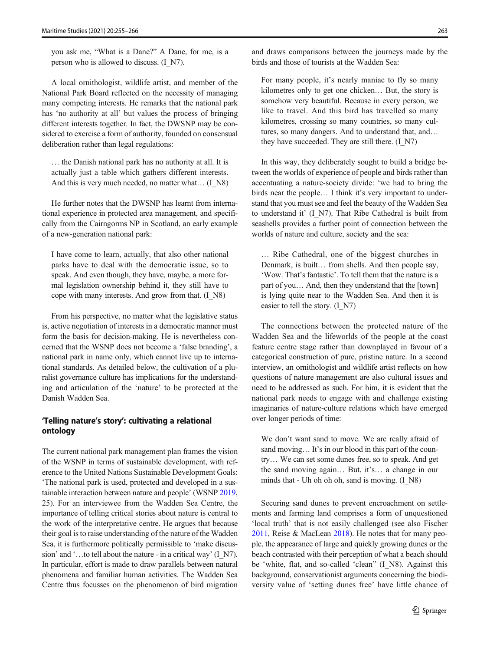you ask me, "What is a Dane?" A Dane, for me, is a person who is allowed to discuss. (I\_N7).

A local ornithologist, wildlife artist, and member of the National Park Board reflected on the necessity of managing many competing interests. He remarks that the national park has 'no authority at all' but values the process of bringing different interests together. In fact, the DWSNP may be considered to exercise a form of authority, founded on consensual deliberation rather than legal regulations:

… the Danish national park has no authority at all. It is actually just a table which gathers different interests. And this is very much needed, no matter what... (I\_N8)

He further notes that the DWSNP has learnt from international experience in protected area management, and specifically from the Cairngorms NP in Scotland, an early example of a new-generation national park:

I have come to learn, actually, that also other national parks have to deal with the democratic issue, so to speak. And even though, they have, maybe, a more formal legislation ownership behind it, they still have to cope with many interests. And grow from that. (I\_N8)

From his perspective, no matter what the legislative status is, active negotiation of interests in a democratic manner must form the basis for decision-making. He is nevertheless concerned that the WSNP does not become a 'false branding', a national park in name only, which cannot live up to international standards. As detailed below, the cultivation of a pluralist governance culture has implications for the understanding and articulation of the 'nature' to be protected at the Danish Wadden Sea.

#### 'Telling nature's story': cultivating a relational ontology

The current national park management plan frames the vision of the WSNP in terms of sustainable development, with reference to the United Nations Sustainable Development Goals: 'The national park is used, protected and developed in a sustainable interaction between nature and people' (WSNP [2019,](#page-11-0) 25). For an interviewee from the Wadden Sea Centre, the importance of telling critical stories about nature is central to the work of the interpretative centre. He argues that because their goal is to raise understanding of the nature of the Wadden Sea, it is furthermore politically permissible to 'make discussion' and '...to tell about the nature - in a critical way' (I\_N7). In particular, effort is made to draw parallels between natural phenomena and familiar human activities. The Wadden Sea Centre thus focusses on the phenomenon of bird migration

and draws comparisons between the journeys made by the birds and those of tourists at the Wadden Sea:

For many people, it's nearly maniac to fly so many kilometres only to get one chicken… But, the story is somehow very beautiful. Because in every person, we like to travel. And this bird has travelled so many kilometres, crossing so many countries, so many cultures, so many dangers. And to understand that, and… they have succeeded. They are still there. (I\_N7)

In this way, they deliberately sought to build a bridge between the worlds of experience of people and birds rather than accentuating a nature-society divide: 'we had to bring the birds near the people… I think it's very important to understand that you must see and feel the beauty of the Wadden Sea to understand it' (I\_N7). That Ribe Cathedral is built from seashells provides a further point of connection between the worlds of nature and culture, society and the sea:

… Ribe Cathedral, one of the biggest churches in Denmark, is built… from shells. And then people say, 'Wow. That's fantastic'. To tell them that the nature is a part of you… And, then they understand that the [town] is lying quite near to the Wadden Sea. And then it is easier to tell the story. (I\_N7)

The connections between the protected nature of the Wadden Sea and the lifeworlds of the people at the coast feature centre stage rather than downplayed in favour of a categorical construction of pure, pristine nature. In a second interview, an ornithologist and wildlife artist reflects on how questions of nature management are also cultural issues and need to be addressed as such. For him, it is evident that the national park needs to engage with and challenge existing imaginaries of nature-culture relations which have emerged over longer periods of time:

We don't want sand to move. We are really afraid of sand moving... It's in our blood in this part of the country… We can set some dunes free, so to speak. And get the sand moving again… But, it's… a change in our minds that - Uh oh oh oh, sand is moving. (I\_N8)

Securing sand dunes to prevent encroachment on settlements and farming land comprises a form of unquestioned 'local truth' that is not easily challenged (see also Fischer [2011,](#page-11-0) Reise & MacLean [2018](#page-12-0)). He notes that for many people, the appearance of large and quickly growing dunes or the beach contrasted with their perception of what a beach should be 'white, flat, and so-called 'clean" (I\_N8). Against this background, conservationist arguments concerning the biodiversity value of 'setting dunes free' have little chance of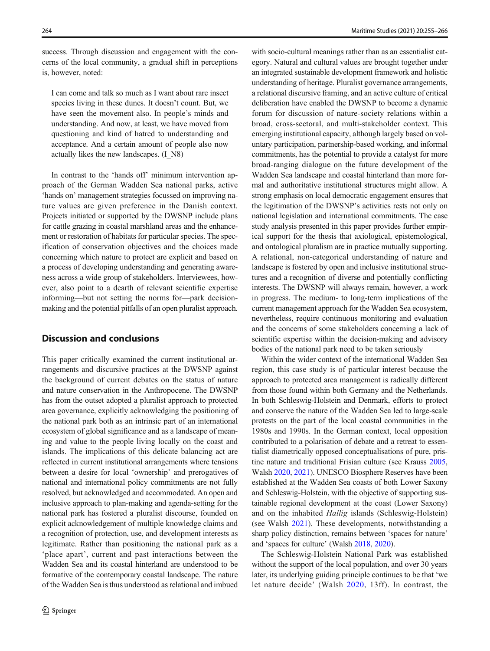success. Through discussion and engagement with the concerns of the local community, a gradual shift in perceptions is, however, noted:

I can come and talk so much as I want about rare insect species living in these dunes. It doesn't count. But, we have seen the movement also. In people's minds and understanding. And now, at least, we have moved from questioning and kind of hatred to understanding and acceptance. And a certain amount of people also now actually likes the new landscapes. (I\_N8)

In contrast to the 'hands off' minimum intervention approach of the German Wadden Sea national parks, active 'hands on' management strategies focussed on improving nature values are given preference in the Danish context. Projects initiated or supported by the DWSNP include plans for cattle grazing in coastal marshland areas and the enhancement or restoration of habitats for particular species. The specification of conservation objectives and the choices made concerning which nature to protect are explicit and based on a process of developing understanding and generating awareness across a wide group of stakeholders. Interviewees, however, also point to a dearth of relevant scientific expertise informing—but not setting the norms for—park decisionmaking and the potential pitfalls of an open pluralist approach.

## Discussion and conclusions

This paper critically examined the current institutional arrangements and discursive practices at the DWSNP against the background of current debates on the status of nature and nature conservation in the Anthropocene. The DWSNP has from the outset adopted a pluralist approach to protected area governance, explicitly acknowledging the positioning of the national park both as an intrinsic part of an international ecosystem of global significance and as a landscape of meaning and value to the people living locally on the coast and islands. The implications of this delicate balancing act are reflected in current institutional arrangements where tensions between a desire for local 'ownership' and prerogatives of national and international policy commitments are not fully resolved, but acknowledged and accommodated. An open and inclusive approach to plan-making and agenda-setting for the national park has fostered a pluralist discourse, founded on explicit acknowledgement of multiple knowledge claims and a recognition of protection, use, and development interests as legitimate. Rather than positioning the national park as a 'place apart', current and past interactions between the Wadden Sea and its coastal hinterland are understood to be formative of the contemporary coastal landscape. The nature of the Wadden Sea is thus understood as relational and imbued

with socio-cultural meanings rather than as an essentialist category. Natural and cultural values are brought together under an integrated sustainable development framework and holistic understanding of heritage. Pluralist governance arrangements, a relational discursive framing, and an active culture of critical deliberation have enabled the DWSNP to become a dynamic forum for discussion of nature-society relations within a broad, cross-sectoral, and multi-stakeholder context. This emerging institutional capacity, although largely based on voluntary participation, partnership-based working, and informal commitments, has the potential to provide a catalyst for more broad-ranging dialogue on the future development of the Wadden Sea landscape and coastal hinterland than more formal and authoritative institutional structures might allow. A strong emphasis on local democratic engagement ensures that the legitimation of the DWSNP's activities rests not only on national legislation and international commitments. The case study analysis presented in this paper provides further empirical support for the thesis that axiological, epistemological, and ontological pluralism are in practice mutually supporting. A relational, non-categorical understanding of nature and landscape is fostered by open and inclusive institutional structures and a recognition of diverse and potentially conflicting interests. The DWSNP will always remain, however, a work in progress. The medium- to long-term implications of the current management approach for the Wadden Sea ecosystem, nevertheless, require continuous monitoring and evaluation and the concerns of some stakeholders concerning a lack of scientific expertise within the decision-making and advisory bodies of the national park need to be taken seriously

Within the wider context of the international Wadden Sea region, this case study is of particular interest because the approach to protected area management is radically different from those found within both Germany and the Netherlands. In both Schleswig-Holstein and Denmark, efforts to protect and conserve the nature of the Wadden Sea led to large-scale protests on the part of the local coastal communities in the 1980s and 1990s. In the German context, local opposition contributed to a polarisation of debate and a retreat to essentialist diametrically opposed conceptualisations of pure, pristine nature and traditional Frisian culture (see Krauss [2005,](#page-12-0) Walsh [2020,](#page-12-0) [2021](#page-12-0)). UNESCO Biosphere Reserves have been established at the Wadden Sea coasts of both Lower Saxony and Schleswig-Holstein, with the objective of supporting sustainable regional development at the coast (Lower Saxony) and on the inhabited Hallig islands (Schleswig-Holstein) (see Walsh [2021\)](#page-12-0). These developments, notwithstanding a sharp policy distinction, remains between 'spaces for nature' and 'spaces for culture' (Walsh [2018](#page-12-0), [2020\)](#page-12-0).

The Schleswig-Holstein National Park was established without the support of the local population, and over 30 years later, its underlying guiding principle continues to be that 'we let nature decide' (Walsh [2020,](#page-12-0) 13ff). In contrast, the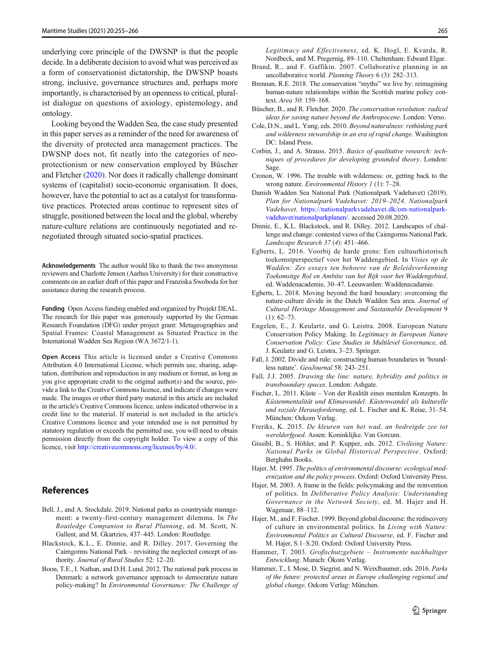<span id="page-11-0"></span>underlying core principle of the DWSNP is that the people decide. In a deliberate decision to avoid what was perceived as a form of conservationist dictatorship, the DWSNP boasts strong, inclusive, governance structures and, perhaps more importantly, is characterised by an openness to critical, pluralist dialogue on questions of axiology, epistemology, and ontology.

Looking beyond the Wadden Sea, the case study presented in this paper serves as a reminder of the need for awareness of the diversity of protected area management practices. The DWSNP does not, fit neatly into the categories of neoprotectionism or new conservation employed by Büscher and Fletcher (2020). Nor does it radically challenge dominant systems of (capitalist) socio-economic organisation. It does, however, have the potential to act as a catalyst for transformative practices. Protected areas continue to represent sites of struggle, positioned between the local and the global, whereby nature-culture relations are continuously negotiated and renegotiated through situated socio-spatial practices.

Acknowledgements The author would like to thank the two anonymous reviewers and Charlotte Jensen (Aarhus University) for their constructive comments on an earlier draft of this paper and Franziska Swoboda for her assistance during the research process.

Funding Open Access funding enabled and organized by Projekt DEAL. The research for this paper was generously supported by the German Research Foundation (DFG) under project grant: Metageographies and Spatial Frames: Coastal Management as Situated Practice in the International Wadden Sea Region (WA 3672/1-1).

Open Access This article is licensed under a Creative Commons Attribution 4.0 International License, which permits use, sharing, adaptation, distribution and reproduction in any medium or format, as long as you give appropriate credit to the original author(s) and the source, provide a link to the Creative Commons licence, and indicate if changes were made. The images or other third party material in this article are included in the article's Creative Commons licence, unless indicated otherwise in a credit line to the material. If material is not included in the article's Creative Commons licence and your intended use is not permitted by statutory regulation or exceeds the permitted use, you will need to obtain permission directly from the copyright holder. To view a copy of this licence, visit <http://creativecommons.org/licenses/by/4.0/>.

## **References**

- Bell, J., and A. Stockdale. 2019. National parks as countryside management: a twenty-first-century management dilemma. In The Routledge Companion to Rural Planning, ed. M. Scott, N. Gallent, and M. Gkartzios, 437–445. London: Routledge.
- Blackstock, K.L., E. Dinnie, and R. Dilley. 2017. Governing the Cairngorms National Park – revisiting the neglected concept of authority. Journal of Rural Studies 52: 12–20.
- Boon, T.E., I. Nathan, and D.H. Lund. 2012. The national park process in Denmark: a network governance approach to democratize nature policy-making? In Environmental Governance: The Challenge of

Legitimacy and Effectiveness, ed. K. Hogl, E. Kvarda, R. Nordbeck, and M. Pregernig, 89–110. Cheltenham: Edward Elgar.

- Brand, R., and F. Gaffikin. 2007. Collaborative planning in an uncollaborative world. Planning Theory 6 (3): 282–313.
- Brennan, R.E. 2018. The conservation "myths" we live by: reimagining human-nature relationships within the Scottish marine policy context. Area 50: 159–168.
- Büscher, B., and R. Fletcher. 2020. The conservation revolution: radical ideas for saving nature beyond the Anthropocene. London: Verso.
- Cole, D.N., and L. Yung, eds. 2010. Beyond naturalness: rethinking park and wilderness stewardship in an era of rapid change. Washington DC: Island Press.
- Corbin, J., and A. Strauss. 2015. Basics of qualitative research: techniques of procedures for developing grounded theory. London: Sage.
- Cronon, W. 1996. The trouble with wilderness: or, getting back to the wrong nature. Environmental History 1 (1): 7–28.
- Danish Wadden Sea National Park (Nationalpark Vadehavet) (2019). Plan for Nationalpark Vadehavet: 2019–2024, Nationalpark Vadehavet, [https://nationalparkvadehavet.dk/om-nationalpark](https://nationalparkvadehavet.dk/om-nationalpark-vadehavet/nationalparkplanen/)[vadehavet/nationalparkplanen/](https://nationalparkvadehavet.dk/om-nationalpark-vadehavet/nationalparkplanen/). accessed 20.08.2020.
- Dinnie, E., K.L. Blackstock, and R. Dilley. 2012. Landscapes of challenge and change: contested views of the Cairngorms National Park. Landscape Research 37 (4): 451–466.
- Egberts, L. 2016. Voorbij de harde grens: Een cultuurhistorisch toekomstperspectief voor het Waddengebied. In Visies op de Wadden: Zes essays ten behoeve van de Beleidsverkenning Toekomstige Rol en Ambitie van het Rijk voor het Waddengebied, ed. Waddenacademie, 30–47. Leeuwarden: Waddenacadamie.
- Egberts, L. 2018. Moving beyond the hard boundary: overcoming the nature-culture divide in the Dutch Wadden Sea area. Journal of Cultural Heritage Management and Sustainable Development 9  $(1): 62 - 73.$
- Engelen, E., J. Keulartz, and G. Leistra. 2008. European Nature Conservation Policy Making. In Legitimacy in European Nature Conservation Policy: Case Studies in Multilevel Governance, ed. J. Keulartz and G. Leistra, 3–23. Springer.
- Fall, J. 2002. Divide and rule: constructing human boundaries in 'boundless nature'. GeoJournal 58: 243–251.
- Fall, J.J. 2005. Drawing the line: nature, hybridity and politics in transboundary spaces. London: Ashgate.
- Fischer, L. 2011. Küste Von der Realität eines mentalen Konzepts. In Küstenmentalität und Klimawandel: Küstenwandel als kulturelle und soziale Herausforderung, ed. L. Fischer and K. Reise, 31–54. München: Oekom Verlag.
- Freriks, K. 2015. De kleuren van het wad, an bedreigde zee tot werelderfgoed. Assen: Koninklijke. Van Gorcum.
- Gissibl, B., S. Höhler, and P. Kupper, eds. 2012. Civilising Nature: National Parks in Global Historical Perspective. Oxford: Berghahn Books.
- Hajer, M. 1995. The politics of environmental discourse: ecological modernization and the policy process. Oxford: Oxford University Press.
- Hajer, M. 2003. A frame in the fields: policymaking and the reinvention of politics. In Deliberative Policy Analysis: Understanding Governance in the Network Society, ed. M. Hajer and H. Wagenaar, 88–112.
- Hajer, M., and F. Fischer. 1999. Beyond global discourse: the rediscovery of culture in environmental politics. In Living with Nature: Environmental Politics as Cultural Discourse, ed. F. Fischer and M. Hajer, S.1–S.20. Oxford: Oxford University Press.
- Hammer, T. 2003. Großschutzgebiete Instrumente nachhaltiger Entwicklung. Munich: Ökom Verlag.
- Hammer, T., I. Mose, D. Siegrist, and N. Weixlbaumer, eds. 2016. Parks of the future: protected areas in Europe challenging regional and global change. Oekom Verlag: München.